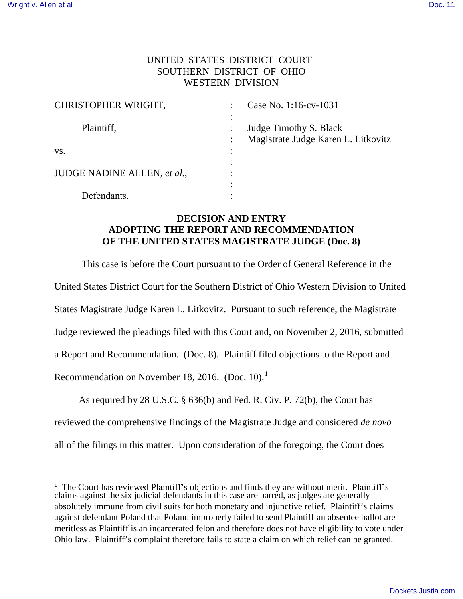## UNITED STATES DISTRICT COURT SOUTHERN DISTRICT OF OHIO WESTERN DIVISION

| CHRISTOPHER WRIGHT,                | Case No. 1:16-cv-1031               |
|------------------------------------|-------------------------------------|
|                                    |                                     |
| Plaintiff,                         | Judge Timothy S. Black              |
|                                    | Magistrate Judge Karen L. Litkovitz |
| VS.                                |                                     |
|                                    |                                     |
| <b>JUDGE NADINE ALLEN, et al.,</b> |                                     |
|                                    |                                     |
| Defendants.                        |                                     |

## **DECISION AND ENTRY ADOPTING THE REPORT AND RECOMMENDATION OF THE UNITED STATES MAGISTRATE JUDGE (Doc. 8)**

This case is before the Court pursuant to the Order of General Reference in the United States District Court for the Southern District of Ohio Western Division to United States Magistrate Judge Karen L. Litkovitz. Pursuant to such reference, the Magistrate Judge reviewed the pleadings filed with this Court and, on November 2, 2016, submitted a Report and Recommendation. (Doc. 8). Plaintiff filed objections to the Report and Recommendation on November 18, 2016. (Doc. 10).<sup>1</sup>

 As required by 28 U.S.C. § 636(b) and Fed. R. Civ. P. 72(b), the Court has reviewed the comprehensive findings of the Magistrate Judge and considered *de novo*  all of the filings in this matter. Upon consideration of the foregoing, the Court does

<sup>&</sup>lt;sup>1</sup> The Court has reviewed Plaintiff's objections and finds they are without merit. Plaintiff's claims against the six judicial defendants in this case are barred, as judges are generally absolutely immune from civil suits for both monetary and injunctive relief. Plaintiff's claims against defendant Poland that Poland improperly failed to send Plaintiff an absentee ballot are meritless as Plaintiff is an incarcerated felon and therefore does not have eligibility to vote under Ohio law. Plaintiff's complaint therefore fails to state a claim on which relief can be granted.